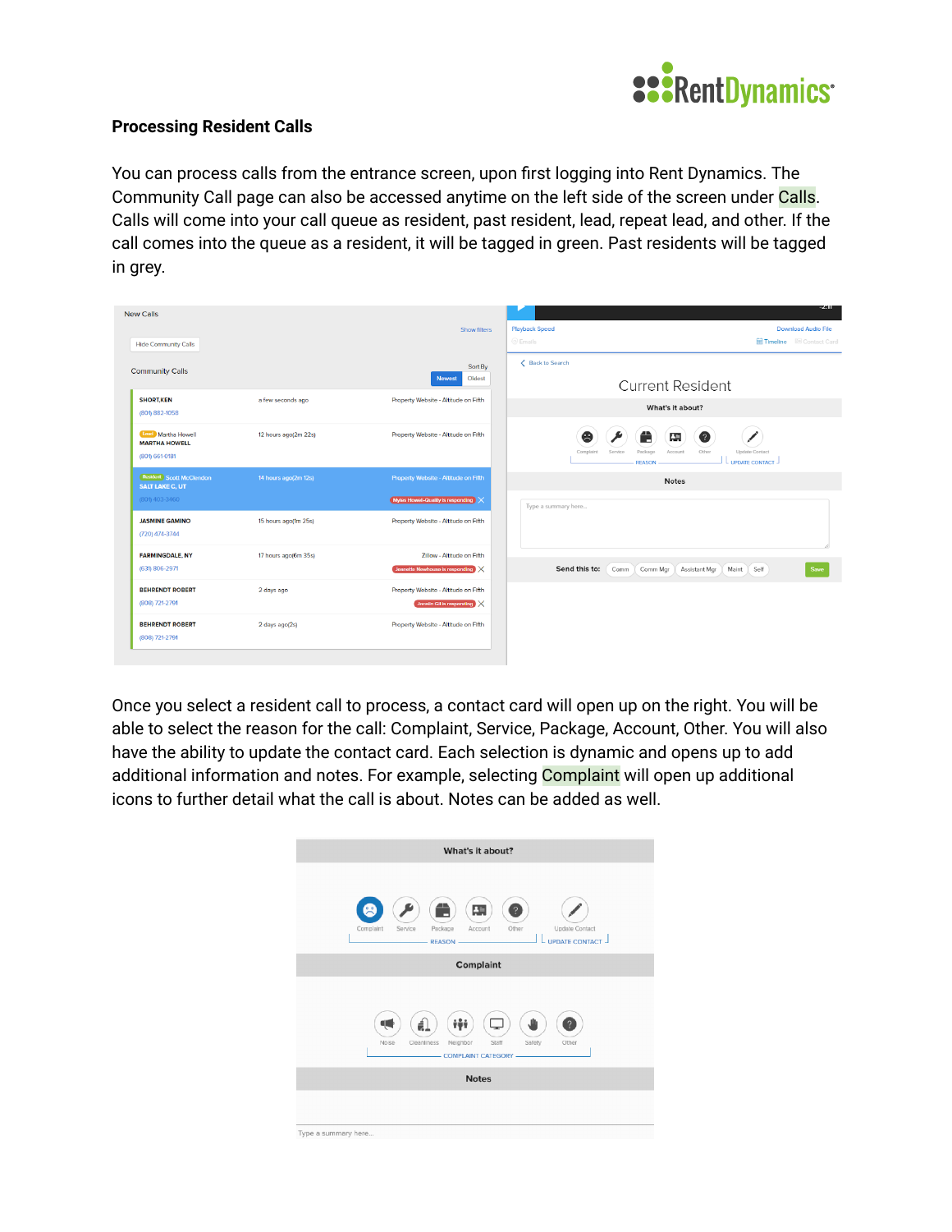

## **Processing Resident Calls**

You can process calls from the entrance screen, upon first logging into Rent Dynamics. The Community Call page can also be accessed anytime on the left side of the screen under Calls. Calls will come into your call queue as resident, past resident, lead, repeat lead, and other. If the call comes into the queue as a resident, it will be tagged in green. Past residents will be tagged in grey.

| <b>New Calls</b>                                                    |                      |                                                                            | -2311                                                                                                                               |
|---------------------------------------------------------------------|----------------------|----------------------------------------------------------------------------|-------------------------------------------------------------------------------------------------------------------------------------|
| <b>Hide Community Calls</b>                                         |                      | Show filters                                                               | <b>Download Audio File</b><br><b>Playback Speed</b><br>$@$ Emails<br><b>图 Timeline</b> 图 Contact Card                               |
| <b>Community Calls</b>                                              |                      | Sort By<br>Oldest<br><b>Newest</b>                                         | ← Back to Search<br>Current Resident                                                                                                |
| <b>SHORT KEN</b><br>(801) 882-1058                                  | a few seconds ago    | Property Website - Altitude on Fifth                                       | What's it about?                                                                                                                    |
| <b>Lead</b> Martha Howell<br><b>MARTHA HOWELL</b><br>(801) 661-0181 | 12 hours ago(2m 22s) | Property Website - Altitude on Fifth                                       | Ë<br>8<br>專<br>Ø<br>Package<br>Account<br>Other<br><b>Update Contact</b><br>Complaint<br>Service<br>UPDATE CONTACT<br><b>REASON</b> |
| Resident Scott McClendon<br><b>SALT LAKE C, UT</b>                  | 14 hours ago(2m 12s) | Property Website - Altitude on Fifth                                       | <b>Notes</b>                                                                                                                        |
| (801) 403-3460                                                      |                      | Myles Howell-Quality is responding                                         | Type a summary here                                                                                                                 |
| <b>JASMINE GAMINO</b><br>(720) 474-3744                             | 15 hours ago(1m 25s) | Property Website - Altitude on Fifth                                       |                                                                                                                                     |
| <b>FARMINGDALE, NY</b><br>(631) 806-2971                            | 17 hours ago(6m 35s) | Zillow - Altitude on Fifth<br>Jeanette Newhouse is responding              | Send this to:<br>Self<br>Comm<br>Comm Mgr<br>Assistant Mgr<br>Maint<br>Save                                                         |
| <b>BEHRENDT ROBERT</b><br>(808) 721-2791                            | 2 days ago           | Property Website - Altitude on Fifth<br>Jocelin Gil is responding $\times$ |                                                                                                                                     |
| <b>BEHRENDT ROBERT</b><br>(808) 721-2791                            | 2 days ago(2s)       | Property Website - Altitude on Fifth                                       |                                                                                                                                     |

Once you select a resident call to process, a contact card will open up on the right. You will be able to select the reason for the call: Complaint, Service, Package, Account, Other. You will also have the ability to update the contact card. Each selection is dynamic and opens up to add additional information and notes. For example, selecting **Complaint** will open up additional icons to further detail what the call is about. Notes can be added as well.